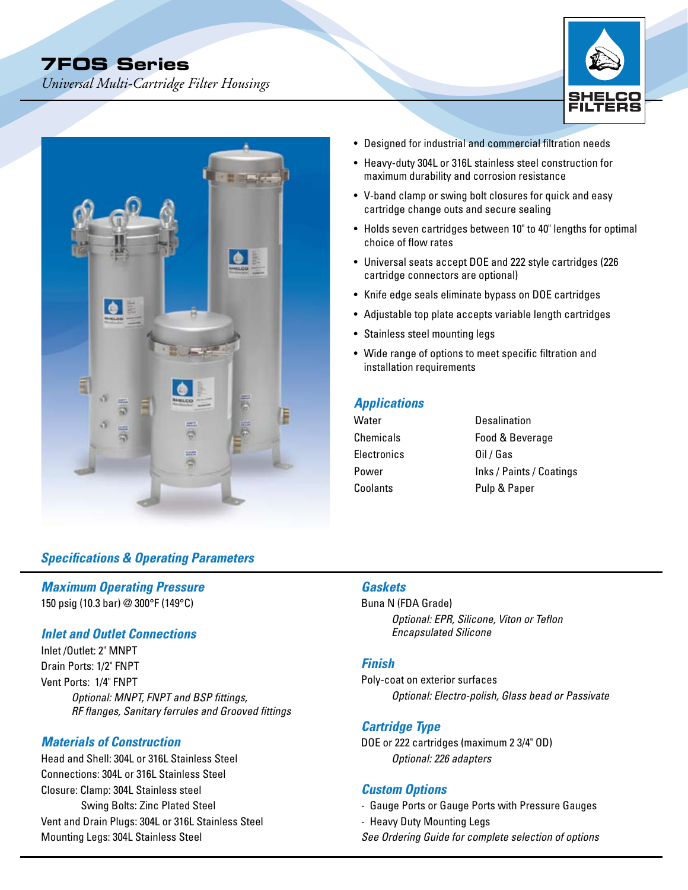# **7FOS Series**

*Universal Multi-Cartridge Filter Housings* 





## *Specifications & Operating Parameters*

## *Maximum Operating Pressure*

150 psig (10.3 bar) @ 300°F (149°C)

## *Inlet and Outlet Connections*

Inlet /Outlet: 2" MNPT Drain Ports: 1/2" FNPT Vent Ports: 1/4" FNPT *Optional: MNPT, FNPT and BSP fittings, RF flanges, Sanitary ferrules and Grooved fittings*

## *Materials of Construction*

Head and Shell: 304L or 316L Stainless Steel Connections: 304L or 316L Stainless Steel Closure: Clamp: 304L Stainless steel Swing Bolts: Zinc Plated Steel Vent and Drain Plugs: 304L or 316L Stainless Steel Mounting Legs: 304L Stainless Steel

- Designed for industrial and commercial filtration needs
- Heavy-duty 304L or 316L stainless steel construction for maximum durability and corrosion resistance
- V-band clamp or swing bolt closures for quick and easy cartridge change outs and secure sealing
- Holds seven cartridges between 10" to 40" lengths for optimal choice of flow rates
- Universal seats accept DOE and 222 style cartridges (226 cartridge connectors are optional)
- Knife edge seals eliminate bypass on DOE cartridges
- Adjustable top plate accepts variable length cartridges
- Stainless steel mounting legs
- Wide range of options to meet specific filtration and installation requirements

## *Applications*

| Water       | Desalination             |
|-------------|--------------------------|
| Chemicals   | Food & Beverage          |
| Electronics | Oil / Gas                |
| Power       | Inks / Paints / Coatings |
| Coolants    | Pulp & Paper             |

## *Gaskets*

Buna N (FDA Grade) *Optional: EPR, Silicone, Viton or Teflon Encapsulated Silicone*

#### *Finish*

Poly-coat on exterior surfaces *Optional: Electro-polish, Glass bead or Passivate*

## *Cartridge Type*

DOE or 222 cartridges (maximum 2 3/4" OD) *Optional: 226 adapters*

## *Custom Options*

- Gauge Ports or Gauge Ports with Pressure Gauges
- Heavy Duty Mounting Legs
- *See Ordering Guide for complete selection of options*